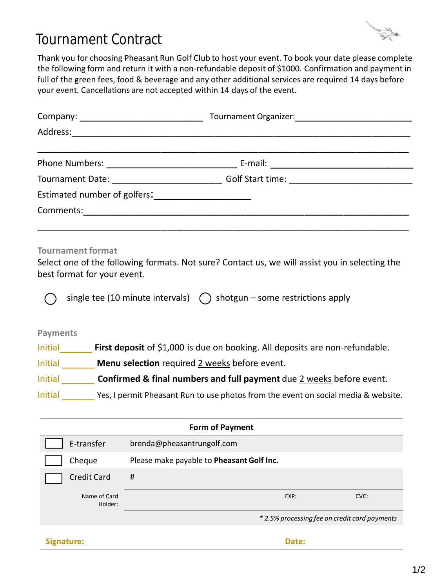

## Tournament Contract

your event. Cancellations are not accepted within 14 days of the event. full of the green fees, food & beverage and any other additional services are required 14 days before the following form and return it with a non-refundable deposit of \$1000. Confirmation and payment in Thank you for choosing Pheasant Run Golf Club to host your event. To book your date please complete

| Address: North Market Street Street Street Street Street Street Street Street Street Street Street Street Street Street Street Street Street Street Street Street Street Street Street Street Street Street Street Street Stre |                                           |  |
|--------------------------------------------------------------------------------------------------------------------------------------------------------------------------------------------------------------------------------|-------------------------------------------|--|
| Phone Numbers: 2008 and 2008 and 2008 and 2008 and 2008 and 2008 and 2008 and 2008 and 2008 and 200                                                                                                                            |                                           |  |
| Tournament Date: <u>____________________</u>                                                                                                                                                                                   | Golf Start time: ________________________ |  |
| Estimated number of golfers:<br><u>Lettimated</u> number of golfers:                                                                                                                                                           |                                           |  |
| Comments:                                                                                                                                                                                                                      |                                           |  |
|                                                                                                                                                                                                                                |                                           |  |

## **Tournament format**

best format for your event. Select one of the following formats. Not sure? Contact us, we will assist you in selecting the

single tee (10 minute intervals)  $\qquad$  shotgun – some restrictions apply

## **Payments**

Initial **First deposit** of \$1,000 is due on booking. All deposits are non-refundable.

Initial \_\_\_\_\_ **Menu selection** required 2 weeks before event.

Initial \_\_\_\_\_ **Confirmed & final numbers and full payment** due 2 weeks before event.

Initial Yes, I permit Pheasant Run to use photos from the event on social media & website.

| <b>Form of Payment</b>  |                                               |  |
|-------------------------|-----------------------------------------------|--|
| E-transfer              | brenda@pheasantrungolf.com                    |  |
| Cheque                  | Please make payable to Pheasant Golf Inc.     |  |
| <b>Credit Card</b>      | #                                             |  |
| Name of Card<br>Holder: | $EXP$ :<br>CVC:                               |  |
|                         | * 2.5% processing fee on credit card payments |  |
| Signature:              | Date:                                         |  |